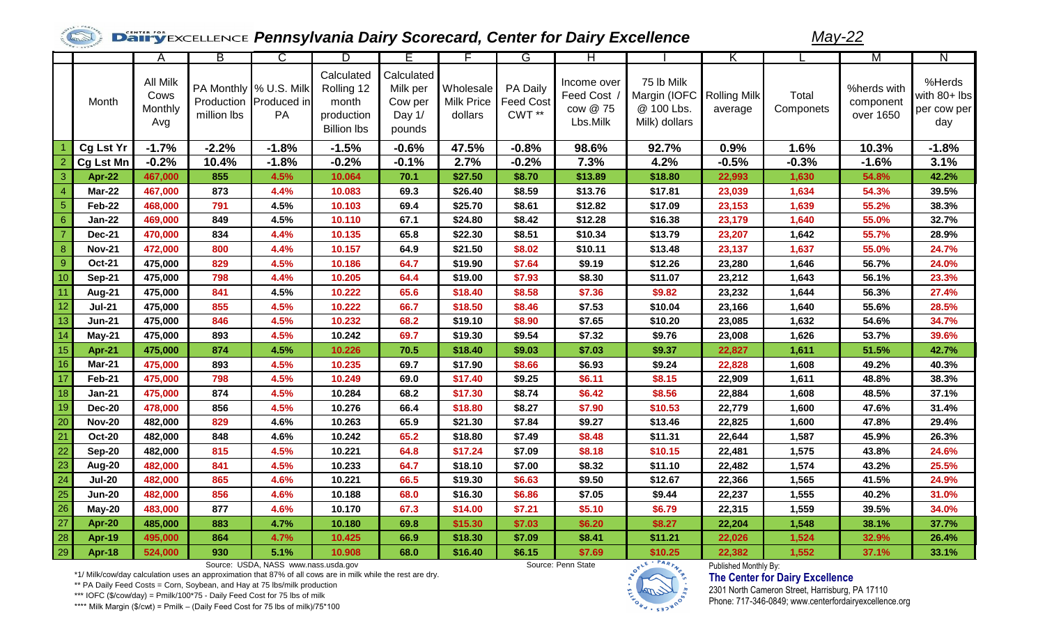## **Panisy Excellence Pennsylvania Dairy Scorecard, Center for Dairy Excellence**

*May-22*

|                |                  | A                                         | В           | C                                                      | D                                                                     | Е                                                     |                                           | G                                       | H                                                  |                                                                          |         |                    | M                                     | N                                            |
|----------------|------------------|-------------------------------------------|-------------|--------------------------------------------------------|-----------------------------------------------------------------------|-------------------------------------------------------|-------------------------------------------|-----------------------------------------|----------------------------------------------------|--------------------------------------------------------------------------|---------|--------------------|---------------------------------------|----------------------------------------------|
|                | Month            | <b>All Milk</b><br>Cows<br>Monthly<br>Avg | million lbs | PA Monthly % U.S. Milk<br>Production Produced in<br>PA | Calculated<br>Rolling 12<br>month<br>production<br><b>Billion lbs</b> | Calculated<br>Milk per<br>Cow per<br>Day 1/<br>pounds | Wholesale<br><b>Milk Price</b><br>dollars | PA Daily<br><b>Feed Cost</b><br>$CWT**$ | Income over<br>Feed Cost /<br>cow @ 75<br>Lbs.Milk | 75 lb Milk<br>Margin (IOFC   Rolling Milk<br>@ 100 Lbs.<br>Milk) dollars | average | Total<br>Componets | %herds with<br>component<br>over 1650 | %Herds<br>with 80+ lbs<br>per cow per<br>day |
|                | Cg Lst Yr        | $-1.7%$                                   | $-2.2%$     | $-1.8%$                                                | $-1.5%$                                                               | $-0.6%$                                               | 47.5%                                     | $-0.8%$                                 | 98.6%                                              | 92.7%                                                                    | 0.9%    | 1.6%               | 10.3%                                 | $-1.8%$                                      |
| $\overline{2}$ | <b>Cg Lst Mn</b> | $-0.2%$                                   | 10.4%       | $-1.8%$                                                | $-0.2%$                                                               | $-0.1%$                                               | 2.7%                                      | $-0.2%$                                 | 7.3%                                               | 4.2%                                                                     | $-0.5%$ | $-0.3%$            | $-1.6%$                               | 3.1%                                         |
| $\overline{3}$ | Apr-22           | 467,000                                   | 855         | 4.5%                                                   | 10.064                                                                | 70.1                                                  | \$27.50                                   | \$8.70                                  | \$13.89                                            | \$18.80                                                                  | 22,993  | 1,630              | 54.8%                                 | 42.2%                                        |
| $\overline{4}$ | <b>Mar-22</b>    | 467,000                                   | 873         | 4.4%                                                   | 10.083                                                                | 69.3                                                  | \$26.40                                   | \$8.59                                  | \$13.76                                            | \$17.81                                                                  | 23,039  | 1,634              | 54.3%                                 | 39.5%                                        |
| 5              | Feb-22           | 468,000                                   | 791         | 4.5%                                                   | 10.103                                                                | 69.4                                                  | \$25.70                                   | \$8.61                                  | \$12.82                                            | \$17.09                                                                  | 23,153  | 1,639              | 55.2%                                 | 38.3%                                        |
| 6              | <b>Jan-22</b>    | 469,000                                   | 849         | 4.5%                                                   | 10.110                                                                | 67.1                                                  | \$24.80                                   | \$8.42                                  | \$12.28                                            | \$16.38                                                                  | 23,179  | 1,640              | 55.0%                                 | 32.7%                                        |
| $\overline{7}$ | <b>Dec-21</b>    | 470,000                                   | 834         | 4.4%                                                   | 10.135                                                                | 65.8                                                  | \$22.30                                   | \$8.51                                  | \$10.34                                            | \$13.79                                                                  | 23,207  | 1,642              | 55.7%                                 | 28.9%                                        |
| 8              | <b>Nov-21</b>    | 472,000                                   | 800         | 4.4%                                                   | 10.157                                                                | 64.9                                                  | \$21.50                                   | \$8.02                                  | \$10.11                                            | \$13.48                                                                  | 23,137  | 1,637              | 55.0%                                 | 24.7%                                        |
| 9              | <b>Oct-21</b>    | 475,000                                   | 829         | 4.5%                                                   | 10.186                                                                | 64.7                                                  | \$19.90                                   | \$7.64                                  | \$9.19                                             | \$12.26                                                                  | 23,280  | 1,646              | 56.7%                                 | 24.0%                                        |
| 10             | Sep-21           | 475,000                                   | 798         | 4.4%                                                   | 10.205                                                                | 64.4                                                  | \$19.00                                   | \$7.93                                  | \$8.30                                             | \$11.07                                                                  | 23,212  | 1,643              | 56.1%                                 | 23.3%                                        |
| 11             | <b>Aug-21</b>    | 475,000                                   | 841         | 4.5%                                                   | 10.222                                                                | 65.6                                                  | \$18.40                                   | \$8.58                                  | \$7.36                                             | \$9.82                                                                   | 23,232  | 1,644              | 56.3%                                 | 27.4%                                        |
| 12             | <b>Jul-21</b>    | 475,000                                   | 855         | 4.5%                                                   | 10.222                                                                | 66.7                                                  | \$18.50                                   | \$8.46                                  | \$7.53                                             | \$10.04                                                                  | 23,166  | 1,640              | 55.6%                                 | 28.5%                                        |
| 13             | <b>Jun-21</b>    | 475,000                                   | 846         | 4.5%                                                   | 10.232                                                                | 68.2                                                  | \$19.10                                   | \$8.90                                  | \$7.65                                             | \$10.20                                                                  | 23,085  | 1,632              | 54.6%                                 | 34.7%                                        |
| 14             | <b>May-21</b>    | 475,000                                   | 893         | 4.5%                                                   | 10.242                                                                | 69.7                                                  | \$19.30                                   | \$9.54                                  | \$7.32                                             | \$9.76                                                                   | 23,008  | 1,626              | 53.7%                                 | 39.6%                                        |
| 15             | Apr-21           | 475,000                                   | 874         | 4.5%                                                   | 10.226                                                                | 70.5                                                  | \$18.40                                   | \$9.03                                  | \$7.03                                             | \$9.37                                                                   | 22,827  | 1,611              | 51.5%                                 | 42.7%                                        |
| 16             | Mar-21           | 475,000                                   | 893         | 4.5%                                                   | 10.235                                                                | 69.7                                                  | \$17.90                                   | \$8.66                                  | \$6.93                                             | \$9.24                                                                   | 22,828  | 1,608              | 49.2%                                 | 40.3%                                        |
| 17             | Feb-21           | 475,000                                   | 798         | 4.5%                                                   | 10.249                                                                | 69.0                                                  | \$17.40                                   | \$9.25                                  | \$6.11                                             | \$8.15                                                                   | 22,909  | 1,611              | 48.8%                                 | 38.3%                                        |
| 18             | Jan-21           | 475,000                                   | 874         | 4.5%                                                   | 10.284                                                                | 68.2                                                  | \$17.30                                   | \$8.74                                  | \$6.42                                             | \$8.56                                                                   | 22,884  | 1,608              | 48.5%                                 | 37.1%                                        |
| 19             | <b>Dec-20</b>    | 478,000                                   | 856         | 4.5%                                                   | 10.276                                                                | 66.4                                                  | \$18.80                                   | \$8.27                                  | \$7.90                                             | \$10.53                                                                  | 22,779  | 1,600              | 47.6%                                 | 31.4%                                        |
| 20             | <b>Nov-20</b>    | 482,000                                   | 829         | 4.6%                                                   | 10.263                                                                | 65.9                                                  | \$21.30                                   | \$7.84                                  | \$9.27                                             | \$13.46                                                                  | 22,825  | 1,600              | 47.8%                                 | 29.4%                                        |
| 21             | <b>Oct-20</b>    | 482,000                                   | 848         | 4.6%                                                   | 10.242                                                                | 65.2                                                  | \$18.80                                   | \$7.49                                  | \$8.48                                             | \$11.31                                                                  | 22,644  | 1,587              | 45.9%                                 | 26.3%                                        |
| 22             | Sep-20           | 482,000                                   | 815         | 4.5%                                                   | 10.221                                                                | 64.8                                                  | \$17.24                                   | \$7.09                                  | \$8.18                                             | \$10.15                                                                  | 22,481  | 1,575              | 43.8%                                 | 24.6%                                        |
| 23             | Aug-20           | 482,000                                   | 841         | 4.5%                                                   | 10.233                                                                | 64.7                                                  | \$18.10                                   | \$7.00                                  | \$8.32                                             | \$11.10                                                                  | 22,482  | 1,574              | 43.2%                                 | 25.5%                                        |
| 24             | <b>Jul-20</b>    | 482,000                                   | 865         | 4.6%                                                   | 10.221                                                                | 66.5                                                  | \$19.30                                   | \$6.63                                  | \$9.50                                             | \$12.67                                                                  | 22,366  | 1,565              | 41.5%                                 | 24.9%                                        |
| 25             | <b>Jun-20</b>    | 482,000                                   | 856         | 4.6%                                                   | 10.188                                                                | 68.0                                                  | \$16.30                                   | \$6.86                                  | \$7.05                                             | \$9.44                                                                   | 22,237  | 1,555              | 40.2%                                 | 31.0%                                        |
| 26             | May-20           | 483,000                                   | 877         | 4.6%                                                   | 10.170                                                                | 67.3                                                  | \$14.00                                   | \$7.21                                  | \$5.10                                             | \$6.79                                                                   | 22,315  | 1,559              | 39.5%                                 | 34.0%                                        |
| 27             | <b>Apr-20</b>    | 485,000                                   | 883         | 4.7%                                                   | 10.180                                                                | 69.8                                                  | \$15.30                                   | \$7.03                                  | \$6.20                                             | \$8.27                                                                   | 22,204  | 1,548              | 38.1%                                 | 37.7%                                        |
| 28             | <b>Apr-19</b>    | 495,000                                   | 864         | 4.7%                                                   | 10.425                                                                | 66.9                                                  | \$18.30                                   | \$7.09                                  | \$8.41                                             | \$11.21                                                                  | 22,026  | 1,524              | 32.9%                                 | 26.4%                                        |
| 29             | Apr-18           | 524,000                                   | 930         | 5.1%                                                   | 10.908                                                                | 68.0                                                  | \$16.40                                   | \$6.15                                  | \$7.69                                             | \$10.25                                                                  | 22,382  | 1,552              | 37.1%                                 | 33.1%                                        |

Source: USDA, NASS www.nass.usda.gov Source: Penn State

 $PAR_{\lambda}$ 

## Published Monthly By: **The Center for Dairy Excellence**

2301 North Cameron Street, Harrisburg, PA 17110 Phone: 717-346-0849; www.centerfordairyexcellence.org

\*1/ Milk/cow/day calculation uses an approximation that 87% of all cows are in milk while the rest are dry.

\*\* PA Daily Feed Costs = Corn, Soybean, and Hay at 75 lbs/milk production

\*\*\* IOFC (\$/cow/day) = Pmilk/100\*75 - Daily Feed Cost for 75 lbs of milk

\*\*\*\* Milk Margin (\$/cwt) = Pmilk – (Daily Feed Cost for 75 lbs of milk)/75\*100